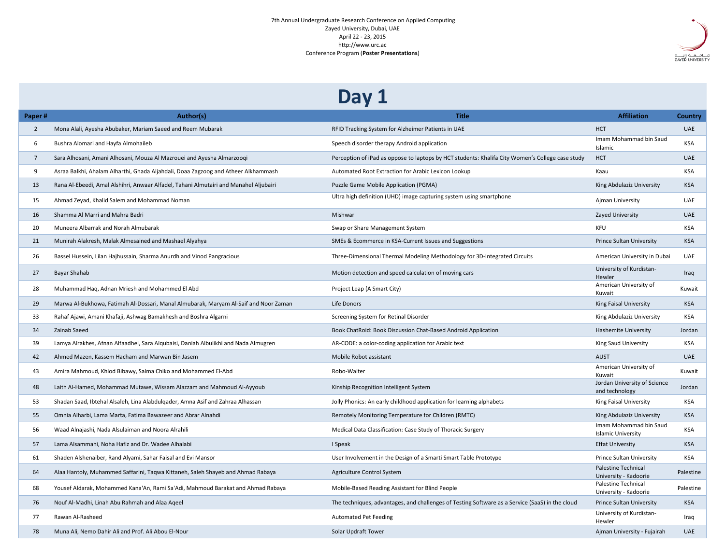## 7th Annual Undergraduate Research Conference on Applied Computing Zayed University, Dubai, UAE April 22 - 23, 2015 http://www.urc.ac Conference Program (**Poster Presentations**)



## **Day 1**

| Paper#         | Author(s)                                                                             | <b>Title</b>                                                                                     | <b>Affiliation</b>                                  | Country    |
|----------------|---------------------------------------------------------------------------------------|--------------------------------------------------------------------------------------------------|-----------------------------------------------------|------------|
| $\overline{2}$ | Mona Alali, Ayesha Abubaker, Mariam Saeed and Reem Mubarak                            | RFID Tracking System for Alzheimer Patients in UAE                                               | <b>HCT</b>                                          | <b>UAE</b> |
| 6              | Bushra Alomari and Hayfa Almohaileb                                                   | Speech disorder therapy Android application                                                      | Imam Mohammad bin Saud<br>Islamic                   | <b>KSA</b> |
| $\overline{7}$ | Sara Alhosani, Amani Alhosani, Mouza Al Mazrouei and Ayesha Almarzoogi                | Perception of iPad as oppose to laptops by HCT students: Khalifa City Women's College case study | <b>HCT</b>                                          | <b>UAE</b> |
| 9              | Asraa Balkhi, Ahalam Alharthi, Ghada Aljahdali, Doaa Zagzoog and Atheer Alkhammash    | Automated Root Extraction for Arabic Lexicon Lookup                                              | Kaau                                                | KSA        |
| 13             | Rana Al-Ebeedi, Amal Alshihri, Anwaar Alfadel, Tahani Almutairi and Manahel Aljubairi | Puzzle Game Mobile Application (PGMA)                                                            | King Abdulaziz University                           | <b>KSA</b> |
| 15             | Ahmad Zeyad, Khalid Salem and Mohammad Noman                                          | Ultra high definition (UHD) image capturing system using smartphone                              | Ajman University                                    | <b>UAE</b> |
| 16             | Shamma Al Marri and Mahra Badri                                                       | Mishwar                                                                                          | Zayed University                                    | <b>UAE</b> |
| 20             | Muneera Albarrak and Norah Almubarak                                                  | Swap or Share Management System                                                                  | KFU                                                 | <b>KSA</b> |
| 21             | Munirah Alakresh, Malak Almesained and Mashael Alyahya                                | SMEs & Ecommerce in KSA-Current Issues and Suggestions                                           | <b>Prince Sultan University</b>                     | <b>KSA</b> |
| 26             | Bassel Hussein, Lilan Hajhussain, Sharma Anurdh and Vinod Pangracious                 | Three-Dimensional Thermal Modeling Methodology for 3D-Integrated Circuits                        | American University in Dubai                        | <b>UAE</b> |
| 27             | <b>Bayar Shahab</b>                                                                   | Motion detection and speed calculation of moving cars                                            | University of Kurdistan-<br><b>Hewler</b>           | Iraq       |
| 28             | Muhammad Haq, Adnan Mriesh and Mohammed El Abd                                        | Project Leap (A Smart City)                                                                      | American University of<br>Kuwait                    | Kuwait     |
| 29             | Marwa Al-Bukhowa, Fatimah Al-Dossari, Manal Almubarak, Maryam Al-Saif and Noor Zaman  | Life Donors                                                                                      | King Faisal University                              | <b>KSA</b> |
| 33             | Rahaf Ajawi, Amani Khafaji, Ashwag Bamakhesh and Boshra Algarni                       | Screening System for Retinal Disorder                                                            | King Abdulaziz University                           | <b>KSA</b> |
| 34             | Zainab Saeed                                                                          | Book ChatRoid: Book Discussion Chat-Based Android Application                                    | Hashemite University                                | Jordan     |
| 39             | Lamya Alrakhes, Afnan Alfaadhel, Sara Algubaisi, Daniah Albulikhi and Nada Almugren   | AR-CODE: a color-coding application for Arabic text                                              | King Saud University                                | KSA        |
| 42             | Ahmed Mazen, Kassem Hacham and Marwan Bin Jasem                                       | Mobile Robot assistant                                                                           | <b>AUST</b>                                         | <b>UAE</b> |
| 43             | Amira Mahmoud, Khlod Bibawy, Salma Chiko and Mohammed El-Abd                          | Robo-Waiter                                                                                      | American University of<br>Kuwait                    | Kuwait     |
| 48             | Laith Al-Hamed, Mohammad Mutawe, Wissam Alazzam and Mahmoud Al-Ayyoub                 | Kinship Recognition Intelligent System                                                           | Jordan University of Science<br>and technology      | Jordan     |
| 53             | Shadan Saad, Ibtehal Alsaleh, Lina Alabdulgader, Amna Asif and Zahraa Alhassan        | Jolly Phonics: An early childhood application for learning alphabets                             | King Faisal University                              | <b>KSA</b> |
| 55             | Omnia Alharbi, Lama Marta, Fatima Bawazeer and Abrar Alnahdi                          | Remotely Monitoring Temperature for Children (RMTC)                                              | King Abdulaziz University                           | <b>KSA</b> |
| 56             | Waad Alnajashi, Nada Alsulaiman and Noora Alrahili                                    | Medical Data Classification: Case Study of Thoracic Surgery                                      | Imam Mohammad bin Saud<br><b>Islamic University</b> | KSA        |
| 57             | Lama Alsammahi, Noha Hafiz and Dr. Wadee Alhalabi                                     | I Speak                                                                                          | <b>Effat University</b>                             | <b>KSA</b> |
| 61             | Shaden Alshenaiber, Rand Alyami, Sahar Faisal and Evi Mansor                          | User Involvement in the Design of a Smarti Smart Table Prototype                                 | Prince Sultan University                            | KSA        |
| 64             | Alaa Hantoly, Muhammed Saffarini, Taqwa Kittaneh, Saleh Shayeb and Ahmad Rabaya       | Agriculture Control System                                                                       | <b>Palestine Technical</b><br>University - Kadoorie | Palestine  |
| 68             | Yousef Aldarak, Mohammed Kana'An, Rami Sa'Adi, Mahmoud Barakat and Ahmad Rabaya       | Mobile-Based Reading Assistant for Blind People                                                  | Palestine Technical<br>University - Kadoorie        | Palestine  |
| 76             | Nouf Al-Madhi, Linah Abu Rahmah and Alaa Ageel                                        | The techniques, advantages, and challenges of Testing Software as a Service (SaaS) in the cloud  | <b>Prince Sultan University</b>                     | <b>KSA</b> |
| 77             | Rawan Al-Rasheed                                                                      | <b>Automated Pet Feeding</b>                                                                     | University of Kurdistan-<br>Hewler                  | Iraq       |
| 78             | Muna Ali, Nemo Dahir Ali and Prof. Ali Abou El-Nour                                   | Solar Updraft Tower                                                                              | Ajman University - Fujairah                         | <b>UAE</b> |